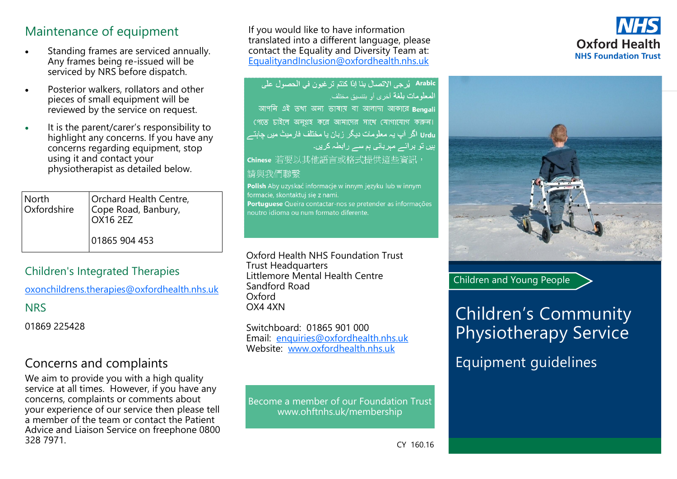## Maintenance of equipment

- Standing frames are serviced annually. Any frames being re-issued will be serviced by NRS before dispatch.
- Posterior walkers, rollators and other pieces of small equipment will be reviewed by the service on request.
- It is the parent/carer's responsibility to highlight any concerns. If you have any concerns regarding equipment, stop using it and contact your physiotherapist as detailed below.

| North       | Orchard Health Centre,<br>Cope Road, Banbury, |
|-------------|-----------------------------------------------|
| Oxfordshire | <b>OX16 2EZ</b>                               |
|             | 01865 904 453                                 |

### Children's Integrated Therapies

oxonchildrens.therapies@oxfordhealth.nhs.uk

**NRS** 

01869 225428

## Concerns and complaints

We aim to provide you with a high quality service at all times. However, if you have any concerns, complaints or comments about your experience of our service then please tell a member of the team or contact the Patient Advice and Liaison Service on freephone 0800 328 7971. CY 160.16

If you would like to have information translated into a different language, please contact the Equality and Diversity Team at: [EqualityandInclusion@oxfordhealth.nhs.uk](mailto:EqualityandInclusion@oxfordhealth.nhs.uk)

| Arabic   يُرجى الاتصال بنا إذا كنتم تر غبون في الحصول على  |
|------------------------------------------------------------|
| المعلومات بلغة أخرى أو بتنسيق مختلف                        |
| আপনি এই তথ্য অন্য ভাষায় বা আলাদা আকারে Bengali            |
| পেতে চাইলে অনুগ্রহ করে আমাদের সাথে যোগাযোগ করুন।           |
| Urdu اگر آپ یہ معلومات دیگر زبان یا مختلف فارمیٹ میں چاہتے |
| <u>ہیں</u> تو برآئے مہربانی ہم سے رابطہ کریں۔              |
| hinese 若要以其他語言或格式提供這些資訊,                                   |
| 宇 站了了一个时间的人                                                |

#### 請哭孜们聯緊

Polish Aby uzyskać informacje w innym języku lub w innym formacie, skontaktuj się z nami. Portuguese Queira contactar-nos se pretender as informações

noutro idioma ou num formato diferente.

Oxford Health NHS Foundation Trust Trust Headquarters Littlemore Mental Health Centre Sandford Road Oxford OX4 4XN

Switchboard: 01865 901 000 Email: enquiries@oxfordhealth.nhs.uk Website: www.oxfordhealth.nhs.uk

Become a member of our Foundation Trust www.ohftnhs.uk/membership





Children and Young People

# Children's Community Physiotherapy Service

Equipment guidelines